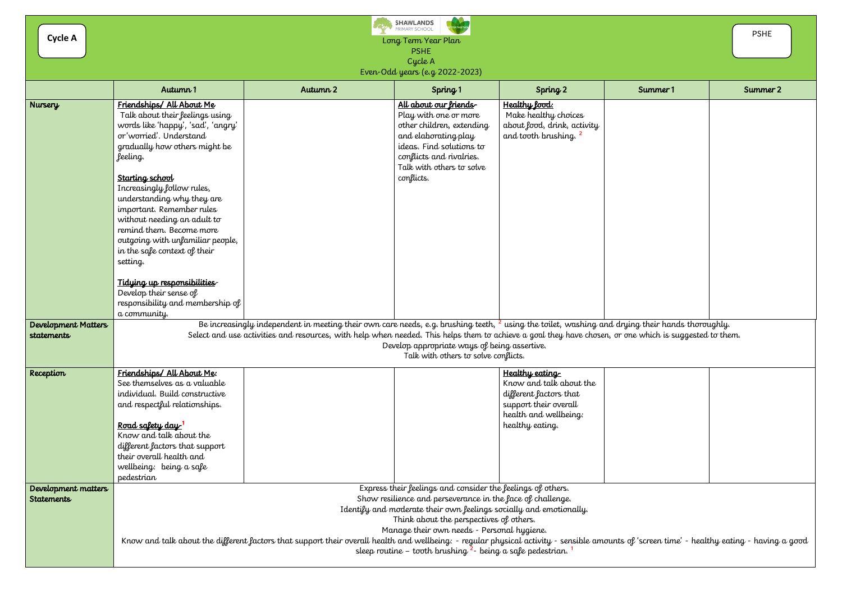Long Term Year Plan PSHE Cycle A

Even-Odd years (e.g 2022-2023)

|                                          | Autumn 1                                                                                                                                                                                                                                                                                                                                                                                                                                                                                                                                                     | Autumn 2 | Spring 1                                                                                                                                                                                                      | Spring 2                                                                                                                                 | Summer 1 | Summer 2 |  |
|------------------------------------------|--------------------------------------------------------------------------------------------------------------------------------------------------------------------------------------------------------------------------------------------------------------------------------------------------------------------------------------------------------------------------------------------------------------------------------------------------------------------------------------------------------------------------------------------------------------|----------|---------------------------------------------------------------------------------------------------------------------------------------------------------------------------------------------------------------|------------------------------------------------------------------------------------------------------------------------------------------|----------|----------|--|
| Nursery                                  | Friendships/ All About Me<br>Talk about their feelings using<br>words like 'happy', 'sad', 'angry'<br>or 'worried'. Understand<br>gradually how others might be<br>feeling.<br>Starting school<br>Increasingly follow rules,<br>understanding why they are<br>important. Remember rules<br>without needing an adult to<br>remind them. Become more<br>outgoing with unfamiliar people,<br>in the safe context of their<br>setting.<br><u>Tidying up responsibilities</u><br>Develop their sense of<br>responsibility and membership of<br>a community.       |          | <u>All about our friends</u><br>Play with one or more<br>other children, extending<br>and elaborating play<br>ideas. Find solutions to<br>conflicts and rivalries.<br>Talk with others to solve<br>conflicts. | Healthy food:<br>Make healthy choices<br>about food, drink, activity<br>and tooth brushing. <sup>2</sup>                                 |          |          |  |
| Development Matters<br>statements        | Be increasingly independent in meeting their own care needs, e.g. brushing teeth, <sup>2</sup> using the toilet, washing and drying their hands thoroughly.<br>Select and use activities and resources, with help when needed. This helps them to achieve a goal they have chosen, or one which is suggested to them.<br>Develop appropriate ways of being assertive.<br>Talk with others to solve conflicts.                                                                                                                                                |          |                                                                                                                                                                                                               |                                                                                                                                          |          |          |  |
| Reception                                | Friendships/ All About Me:<br>See themselves as a valuable<br>individual. Build constructive<br>and respectful relationships.<br><u>Road safety day '</u><br>Know and talk about the<br>different factors that support<br>their overall health and<br>wellbeing: being a safe<br>pedestrian                                                                                                                                                                                                                                                                  |          |                                                                                                                                                                                                               | Healthy eating<br>Know and talk about the<br>different factors that<br>support their overall<br>health and wellbeing:<br>healthy eating. |          |          |  |
| Development matters<br><b>Statements</b> | Express their feelings and consider the feelings of others.<br>Show resilience and perseverance in the face of challenge.<br>Identify and moderate their own feelings socially and emotionally.<br>Think about the perspectives of others.<br>Manage their own needs - Personal hygiene.<br>Know and talk about the different factors that support their overall health and wellbeing: - regular physical activity - sensible amounts of 'screen time' - healthy eating - having a good<br>sleep routine – tooth brushing $2$ - being a safe pedestrian. $1$ |          |                                                                                                                                                                                                               |                                                                                                                                          |          |          |  |

**Cycle A**



|                                                          | <b>PSHE</b> |  |  |  |  |
|----------------------------------------------------------|-------------|--|--|--|--|
| Summer 1                                                 | Summer 2    |  |  |  |  |
|                                                          |             |  |  |  |  |
|                                                          |             |  |  |  |  |
| g their hands thoroughly.<br>which is suggested to them. |             |  |  |  |  |
|                                                          |             |  |  |  |  |
| 'screen time' - healthy eating - having a good           |             |  |  |  |  |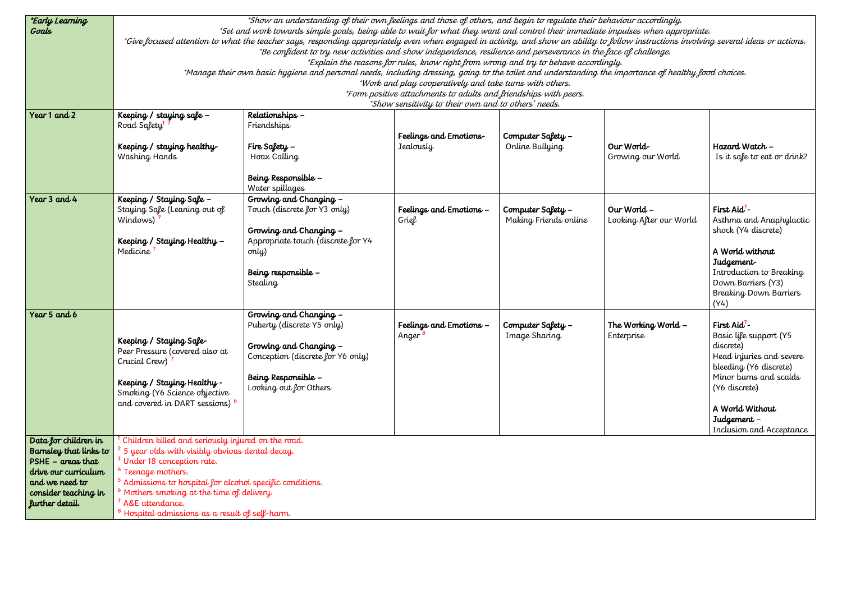| <i>*Early Learning</i><br>Goals                                                                                                                                  | *Show an understanding of their own feelings and those of others, and begin to regulate their behaviour accordingly.<br>*Set and work towards simple goals, being able to wait for what they want and control their immediate impulses when appropriate.<br>*Give focused attention to what the teacher says, responding appropriately even when engaged in activity, and show an ability to follow instructions involving several ideas or actions.<br>*Be confident to try new activities and show independence, resilience and perseverance in the face of challenge.<br>*Explain the reasons for rules, know right from wrong and try to behave accordingly.<br>*Manage their own basic hygiene and personal needs, including dressing, going to the toilet and understanding the importance of healthy food choices.<br>*Work and play cooperatively and take turns with others.<br>*Form positive attachments to adults and friendships with peers.<br>*Show sensitivity to their own and to others' needs. |                                                                                                                                                                      |                                               |                                            |                                        |                                                                                                                                                                                                                                |
|------------------------------------------------------------------------------------------------------------------------------------------------------------------|-------------------------------------------------------------------------------------------------------------------------------------------------------------------------------------------------------------------------------------------------------------------------------------------------------------------------------------------------------------------------------------------------------------------------------------------------------------------------------------------------------------------------------------------------------------------------------------------------------------------------------------------------------------------------------------------------------------------------------------------------------------------------------------------------------------------------------------------------------------------------------------------------------------------------------------------------------------------------------------------------------------------|----------------------------------------------------------------------------------------------------------------------------------------------------------------------|-----------------------------------------------|--------------------------------------------|----------------------------------------|--------------------------------------------------------------------------------------------------------------------------------------------------------------------------------------------------------------------------------|
| Year 1 and 2                                                                                                                                                     | Keeping / staying safe -<br>Road Safety <sup>1</sup><br>Keeping / staying healthy<br>Washing Hands                                                                                                                                                                                                                                                                                                                                                                                                                                                                                                                                                                                                                                                                                                                                                                                                                                                                                                                | Relationships -<br>Friendships<br>Fire Safety $-$<br>Hoax Calling<br>Being Responsible -<br>Water spillages                                                          | Feelings and Emotions-<br>Jealously           | Computer Safety -<br>Online Bullying       | Our World-<br>Growing our World        | Hazard Watch -<br>Is it safe to eat or drink?                                                                                                                                                                                  |
| Year 3 and 4                                                                                                                                                     | Keeping / Staying Safe -<br>Staying Safe (Leaning out of<br>Windows)<br>Keeping / Staying Healthy -<br>Medicine                                                                                                                                                                                                                                                                                                                                                                                                                                                                                                                                                                                                                                                                                                                                                                                                                                                                                                   | Growing and Changing -<br>Touch (discrete for Y3 only)<br>Growing and Changing -<br>Appropriate touch (discrete for Y4<br>only)<br>Being responsible -<br>Stealing   | Feelings and Emotions -<br>Grief              | Computer Safety -<br>Making Friends online | Our World -<br>Looking After our World | First Aid <sup>7</sup> -<br>Asthma and Anaphylactic<br>shock (Y4 discrete)<br>A World without<br>Judgement-<br>Introduction to Breaking<br>Down Barriers (Y3)<br><b>Breaking Down Barriers</b><br>(Y4)                         |
| Year 5 and 6                                                                                                                                                     | Keeping / Staying Safe-<br>Peer Pressure (covered also at<br>Crucial Crew)<br>Keeping / Staying Healthy -<br>Smoking (Y6 Science objective<br>and covered in DART sessions) 6                                                                                                                                                                                                                                                                                                                                                                                                                                                                                                                                                                                                                                                                                                                                                                                                                                     | Growing and Changing -<br>Puberty (discrete Y5 only)<br>Growing and Changing -<br>Conception (discrete for Y6 only)<br>Being Responsible -<br>Looking out for Others | Feelings and Emotions -<br>Anger <sup>8</sup> | Computer Safety -<br>Image Sharing         | The Working World $-$<br>Enterprise    | First Aid <sup>7</sup> -<br>Basic life support (Y5<br>discrete)<br>Head injuries and severe<br>bleeding (Y6 discrete)<br>Minor burns and scalds<br>(Y6 discrete)<br>A World Without<br>Judgement -<br>Inclusion and Acceptance |
| Data for children in<br>Barnsley that links to<br>$PSHE - \alpha$ reas that<br>drive our curriculum<br>and we need to<br>consider teaching in<br>further detail. | Children killed and seriously injured on the road.<br><sup>2</sup> 5 year olds with visibly obvious dental decay.<br><sup>3</sup> Under 18 conception rate.<br><sup>4</sup> Teenage mothers.<br><sup>5</sup> Admissions to hospital for alcohol specific conditions.<br>$^6$ Mothers smoking at the time of delivery.<br><sup>7</sup> A&E attendance.<br>$^8$ Hospital admissions as a result of self-harm.                                                                                                                                                                                                                                                                                                                                                                                                                                                                                                                                                                                                       |                                                                                                                                                                      |                                               |                                            |                                        |                                                                                                                                                                                                                                |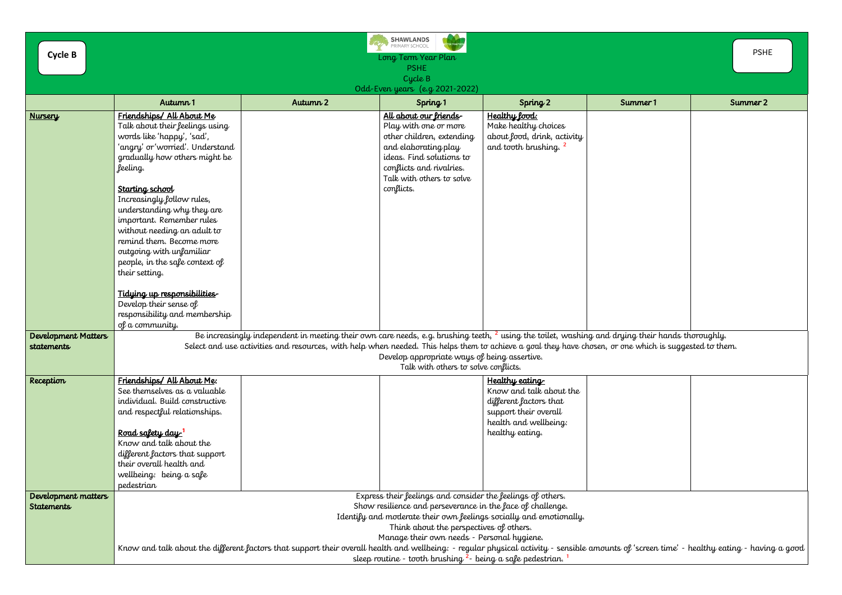| <b>Cycle B</b>                           |                                                                                                                                                                                                                                                                                                                                                                                                                                                                                                                                                                   |          | <b>SHAWLANDS</b><br>PRIMARY SCHOOL<br>Long Term Year Plan<br><b>PSHE</b><br>Cycle B                                                                                                                    |                                                                                                                                                 |          | <b>PSHE</b> |  |
|------------------------------------------|-------------------------------------------------------------------------------------------------------------------------------------------------------------------------------------------------------------------------------------------------------------------------------------------------------------------------------------------------------------------------------------------------------------------------------------------------------------------------------------------------------------------------------------------------------------------|----------|--------------------------------------------------------------------------------------------------------------------------------------------------------------------------------------------------------|-------------------------------------------------------------------------------------------------------------------------------------------------|----------|-------------|--|
|                                          | Autumn 1                                                                                                                                                                                                                                                                                                                                                                                                                                                                                                                                                          | Autumn 2 | Odd-Even years (e.g. 2021-2022)<br>Spring 1                                                                                                                                                            | Spring 2                                                                                                                                        | Summer 1 | Summer 2    |  |
| <b>Nursery</b>                           | Friendships/ All About Me<br>Talk about their feelings using<br>words like 'happy', 'sad',<br>'angry' or 'worried'. Understand<br>gradually how others might be<br>feeling.<br>Starting school<br>Increasingly follow rules,<br>understanding why they are<br>important. Remember rules<br>without needing an adult to<br>remind them. Become more<br>outgoing with unfamiliar<br>people, in the safe context of<br>their setting.<br>Tidying up responsibilities<br>Develop their sense of<br>responsibility and membership<br>of a community.                   |          | All about our friends<br>Play with one or more<br>other children, extending<br>and elaborating play<br>ideas. Find solutions to<br>conflicts and rivalries.<br>Talk with others to solve<br>conflicts. | Healthy lood:<br>Make healthy choices<br>about food, drink, activity<br>and tooth brushing. <sup>2</sup>                                        |          |             |  |
| Development Matters<br><b>statements</b> | Be increasingly independent in meeting their own care needs, e.g. brushing teeth, $^2$ using the toilet, washing and drying their hands thoroughly.<br>Select and use activities and resources, with help when needed. This helps them to achieve a goal they have chosen, or one which is suggested to them.<br>Develop appropriate ways of being assertive.<br>Talk with others to solve conflicts.                                                                                                                                                             |          |                                                                                                                                                                                                        |                                                                                                                                                 |          |             |  |
| Reception                                | Friendships/ All About Me:<br>See themselves as a valuable<br>individual. Build constructive<br>and respectful relationships.<br><u>Road safety day '</u><br>Know and talk about the<br>different factors that support<br>their overall health and<br>wellbeing: being a safe<br>pedestrian                                                                                                                                                                                                                                                                       |          |                                                                                                                                                                                                        | <u>Healthy eating</u><br>Know and talk about the<br>different factors that<br>support their overall<br>health and wellbeing:<br>healthy eating. |          |             |  |
| Development matters<br><b>Statements</b> | Express their feelings and consider the feelings of others.<br>Show resilience and perseverance in the face of challenge.<br>Identify and moderate their own feelings socially and emotionally.<br>Think about the perspectives of others.<br>Manage their own needs - Personal hygiene.<br>Know and talk about the different factors that support their overall health and wellbeing: - regular physical activity - sensible amounts of 'screen time' - healthy eating - having a good<br>sleep routine - tooth brushing <sup>2</sup> - being a safe pedestrian. |          |                                                                                                                                                                                                        |                                                                                                                                                 |          |             |  |

|                                                                      | <b>PSHE</b> |  |  |  |  |
|----------------------------------------------------------------------|-------------|--|--|--|--|
| mer 1                                                                | Summer 2    |  |  |  |  |
|                                                                      |             |  |  |  |  |
|                                                                      |             |  |  |  |  |
| their hands thoroughly.<br>which is suggested to them.               |             |  |  |  |  |
|                                                                      |             |  |  |  |  |
| $\mathop{\sf screen}$ time' - healthy eating - having a good $\big $ |             |  |  |  |  |